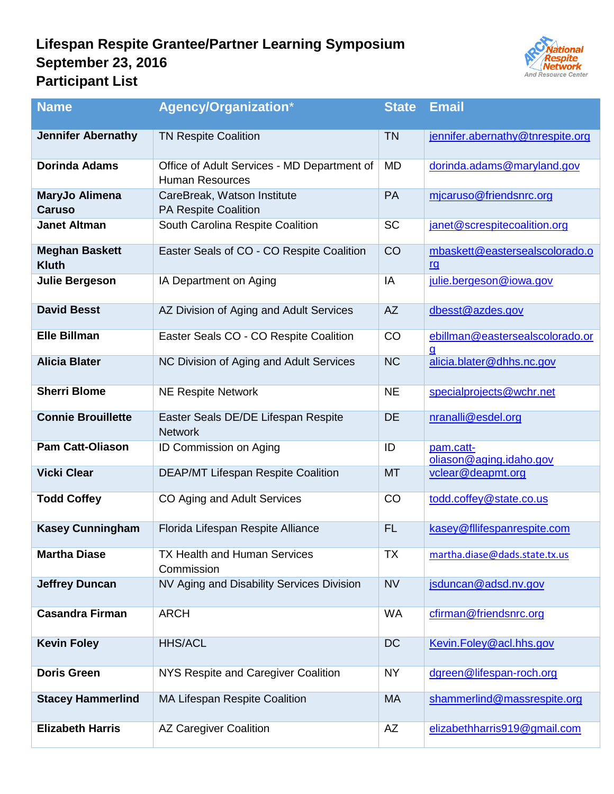## **Lifespan Respite Grantee/Partner Learning Symposium September 23, 2016 Participant List**



| <b>Name</b>                           | <b>Agency/Organization*</b>                                           | <b>State</b> | <b>Email</b>                                |
|---------------------------------------|-----------------------------------------------------------------------|--------------|---------------------------------------------|
| <b>Jennifer Abernathy</b>             | <b>TN Respite Coalition</b>                                           | <b>TN</b>    | jennifer.abernathy@tnrespite.org            |
| <b>Dorinda Adams</b>                  | Office of Adult Services - MD Department of<br><b>Human Resources</b> | <b>MD</b>    | dorinda.adams@maryland.gov                  |
| MaryJo Alimena<br><b>Caruso</b>       | CareBreak, Watson Institute<br><b>PA Respite Coalition</b>            | PA           | mjcaruso@friendsnrc.org                     |
| <b>Janet Altman</b>                   | South Carolina Respite Coalition                                      | <b>SC</b>    | janet@screspitecoalition.org                |
| <b>Meghan Baskett</b><br><b>Kluth</b> | Easter Seals of CO - CO Respite Coalition                             | CO           | mbaskett@eastersealscolorado.o<br><u>rg</u> |
| <b>Julie Bergeson</b>                 | IA Department on Aging                                                | IA           | julie.bergeson@iowa.gov                     |
| <b>David Besst</b>                    | AZ Division of Aging and Adult Services                               | <b>AZ</b>    | dbesst@azdes.gov                            |
| <b>Elle Billman</b>                   | Easter Seals CO - CO Respite Coalition                                | CO           | ebillman@eastersealscolorado.or<br><u>g</u> |
| <b>Alicia Blater</b>                  | NC Division of Aging and Adult Services                               | <b>NC</b>    | alicia.blater@dhhs.nc.gov                   |
| <b>Sherri Blome</b>                   | <b>NE Respite Network</b>                                             | <b>NE</b>    | specialprojects@wchr.net                    |
| <b>Connie Brouillette</b>             | Easter Seals DE/DE Lifespan Respite<br><b>Network</b>                 | DE           | nranalli@esdel.org                          |
| <b>Pam Catt-Oliason</b>               | <b>ID Commission on Aging</b>                                         | ID           | pam.catt-<br>oliason@aging.idaho.gov        |
| <b>Vicki Clear</b>                    | <b>DEAP/MT Lifespan Respite Coalition</b>                             | <b>MT</b>    | vclear@deapmt.org                           |
| <b>Todd Coffey</b>                    | CO Aging and Adult Services                                           | CO           | todd.coffey@state.co.us                     |
| <b>Kasey Cunningham</b>               | Florida Lifespan Respite Alliance                                     | <b>FL</b>    | kasey@fllifespanrespite.com                 |
| <b>Martha Diase</b>                   | <b>TX Health and Human Services</b><br>Commission                     | TX           | martha.diase@dads.state.tx.us               |
| <b>Jeffrey Duncan</b>                 | NV Aging and Disability Services Division                             | <b>NV</b>    | jsduncan@adsd.nv.gov                        |
| <b>Casandra Firman</b>                | <b>ARCH</b>                                                           | <b>WA</b>    | cfirman@friendsnrc.org                      |
| <b>Kevin Foley</b>                    | <b>HHS/ACL</b>                                                        | <b>DC</b>    | Kevin.Foley@acl.hhs.gov                     |
| <b>Doris Green</b>                    | NYS Respite and Caregiver Coalition                                   | <b>NY</b>    | dgreen@lifespan-roch.org                    |
| <b>Stacey Hammerlind</b>              | MA Lifespan Respite Coalition                                         | <b>MA</b>    | shammerlind@massrespite.org                 |
| <b>Elizabeth Harris</b>               | <b>AZ Caregiver Coalition</b>                                         | AZ           | elizabethharris919@gmail.com                |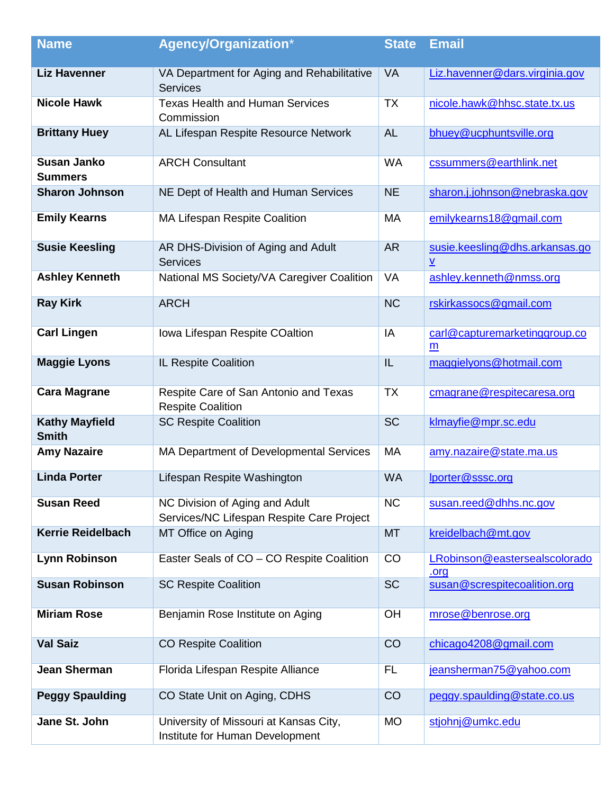| <b>Name</b>                           | <b>Agency/Organization*</b>                                                 | <b>State</b> | <b>Email</b>                                               |
|---------------------------------------|-----------------------------------------------------------------------------|--------------|------------------------------------------------------------|
| <b>Liz Havenner</b>                   | VA Department for Aging and Rehabilitative<br><b>Services</b>               | <b>VA</b>    | Liz.havenner@dars.virginia.gov                             |
| <b>Nicole Hawk</b>                    | <b>Texas Health and Human Services</b><br>Commission                        | <b>TX</b>    | nicole.hawk@hhsc.state.tx.us                               |
| <b>Brittany Huey</b>                  | AL Lifespan Respite Resource Network                                        | <b>AL</b>    | bhuey@ucphuntsville.org                                    |
| <b>Susan Janko</b><br><b>Summers</b>  | <b>ARCH Consultant</b>                                                      | <b>WA</b>    | cssummers@earthlink.net                                    |
| <b>Sharon Johnson</b>                 | NE Dept of Health and Human Services                                        | <b>NE</b>    | sharon.j.johnson@nebraska.gov                              |
| <b>Emily Kearns</b>                   | <b>MA Lifespan Respite Coalition</b>                                        | <b>MA</b>    | emilykearns18@gmail.com                                    |
| <b>Susie Keesling</b>                 | AR DHS-Division of Aging and Adult<br><b>Services</b>                       | <b>AR</b>    | susie.keesling@dhs.arkansas.go<br>$\underline{\mathsf{v}}$ |
| <b>Ashley Kenneth</b>                 | National MS Society/VA Caregiver Coalition                                  | <b>VA</b>    | ashley.kenneth@nmss.org                                    |
| <b>Ray Kirk</b>                       | <b>ARCH</b>                                                                 | <b>NC</b>    | rskirkassocs@gmail.com                                     |
| <b>Carl Lingen</b>                    | Iowa Lifespan Respite COaltion                                              | IA           | carl@capturemarketinggroup.co<br>m                         |
| <b>Maggie Lyons</b>                   | IL Respite Coalition                                                        | IL           | maggielyons@hotmail.com                                    |
| <b>Cara Magrane</b>                   | Respite Care of San Antonio and Texas<br><b>Respite Coalition</b>           | <b>TX</b>    | cmagrane@respitecaresa.org                                 |
| <b>Kathy Mayfield</b><br><b>Smith</b> | <b>SC Respite Coalition</b>                                                 | <b>SC</b>    | klmayfie@mpr.sc.edu                                        |
| <b>Amy Nazaire</b>                    | MA Department of Developmental Services                                     | <b>MA</b>    | amy.nazaire@state.ma.us                                    |
| <b>Linda Porter</b>                   | Lifespan Respite Washington                                                 | <b>WA</b>    | lporter@sssc.org                                           |
| <b>Susan Reed</b>                     | NC Division of Aging and Adult<br>Services/NC Lifespan Respite Care Project | <b>NC</b>    | susan.reed@dhhs.nc.gov                                     |
| <b>Kerrie Reidelbach</b>              | MT Office on Aging                                                          | <b>MT</b>    | kreidelbach@mt.gov                                         |
| <b>Lynn Robinson</b>                  | Easter Seals of CO - CO Respite Coalition                                   | CO           | LRobinson@eastersealscolorado<br>.org                      |
| <b>Susan Robinson</b>                 | <b>SC Respite Coalition</b>                                                 | <b>SC</b>    | susan@screspitecoalition.org                               |
| <b>Miriam Rose</b>                    | Benjamin Rose Institute on Aging                                            | OH           | mrose@benrose.org                                          |
| <b>Val Saiz</b>                       | <b>CO Respite Coalition</b>                                                 | CO           | chicago4208@gmail.com                                      |
| <b>Jean Sherman</b>                   | Florida Lifespan Respite Alliance                                           | FL.          | jeansherman75@yahoo.com                                    |
| <b>Peggy Spaulding</b>                | CO State Unit on Aging, CDHS                                                | CO           | peggy.spaulding@state.co.us                                |
| Jane St. John                         | University of Missouri at Kansas City,<br>Institute for Human Development   | <b>MO</b>    | stjohnj@umkc.edu                                           |